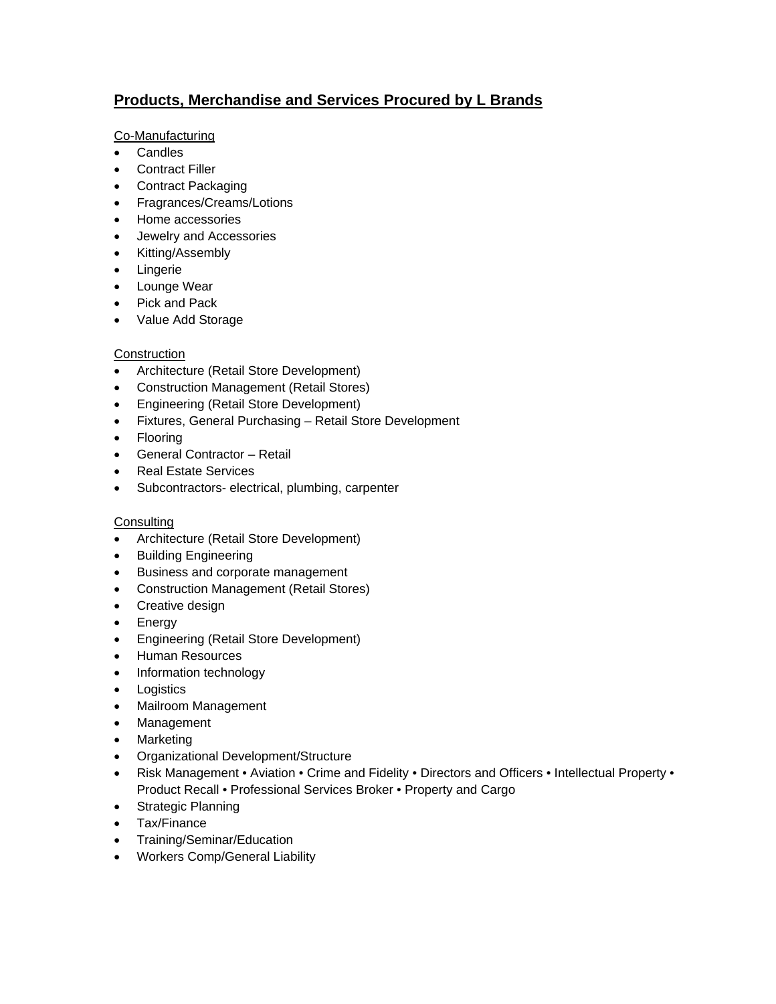# **Products, Merchandise and Services Procured by L Brands**

# Co-Manufacturing

- Candles
- Contract Filler
- Contract Packaging
- Fragrances/Creams/Lotions
- Home accessories
- Jewelry and Accessories
- Kitting/Assembly
- Lingerie
- Lounge Wear
- Pick and Pack
- Value Add Storage

# **Construction**

- Architecture (Retail Store Development)
- Construction Management (Retail Stores)
- Engineering (Retail Store Development)
- Fixtures, General Purchasing Retail Store Development
- Flooring
- General Contractor Retail
- Real Estate Services
- Subcontractors- electrical, plumbing, carpenter

# **Consulting**

- Architecture (Retail Store Development)
- Building Engineering
- **Business and corporate management**
- Construction Management (Retail Stores)
- Creative design
- Energy
- Engineering (Retail Store Development)
- Human Resources
- Information technology
- Logistics
- Mailroom Management
- Management
- Marketing
- Organizational Development/Structure
- Risk Management Aviation Crime and Fidelity Directors and Officers Intellectual Property Product Recall • Professional Services Broker • Property and Cargo
- Strategic Planning
- Tax/Finance
- Training/Seminar/Education
- Workers Comp/General Liability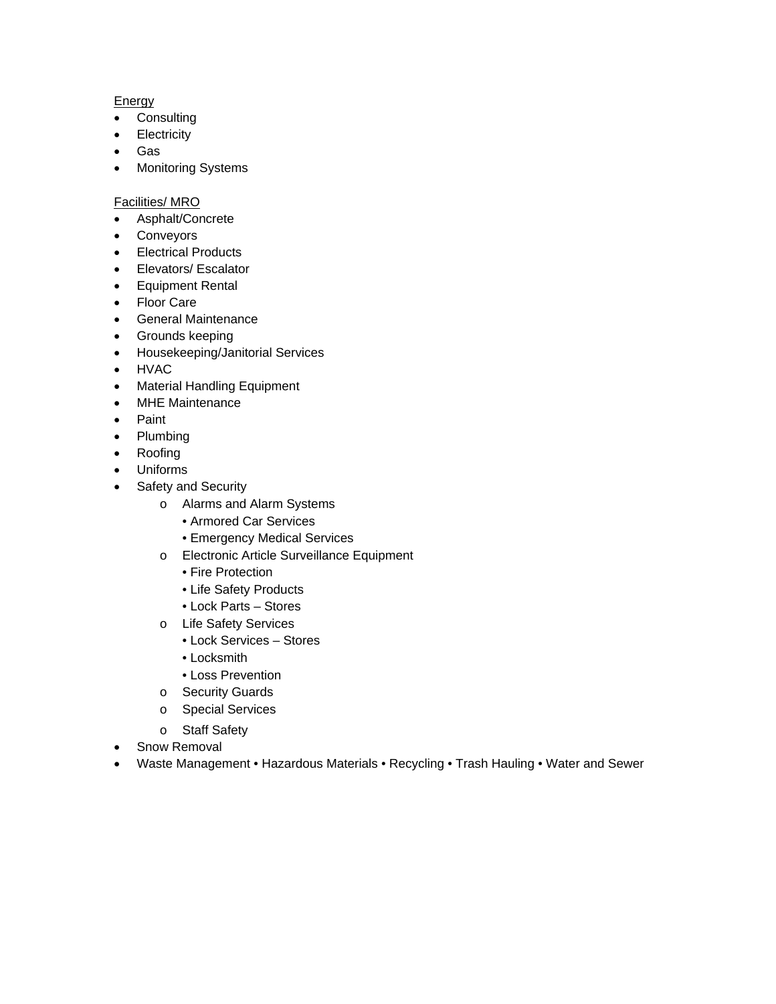# **Energy**

- **•** Consulting
- **Electricity**
- Gas
- Monitoring Systems

# Facilities/ MRO

- Asphalt/Concrete
- Conveyors
- Electrical Products
- Elevators/ Escalator
- **•** Equipment Rental
- Floor Care
- General Maintenance
- Grounds keeping
- Housekeeping/Janitorial Services
- HVAC
- Material Handling Equipment
- MHE Maintenance
- Paint
- Plumbing
- Roofing
- Uniforms
- Safety and Security
	- o Alarms and Alarm Systems
		- Armored Car Services
		- Emergency Medical Services
	- o Electronic Article Surveillance Equipment
		- Fire Protection
		- Life Safety Products
		- Lock Parts Stores
	- o Life Safety Services
		- Lock Services Stores
		- Locksmith
		- Loss Prevention
	- o Security Guards
	- o Special Services
	- o Staff Safety
- Snow Removal
- Waste Management Hazardous Materials Recycling Trash Hauling Water and Sewer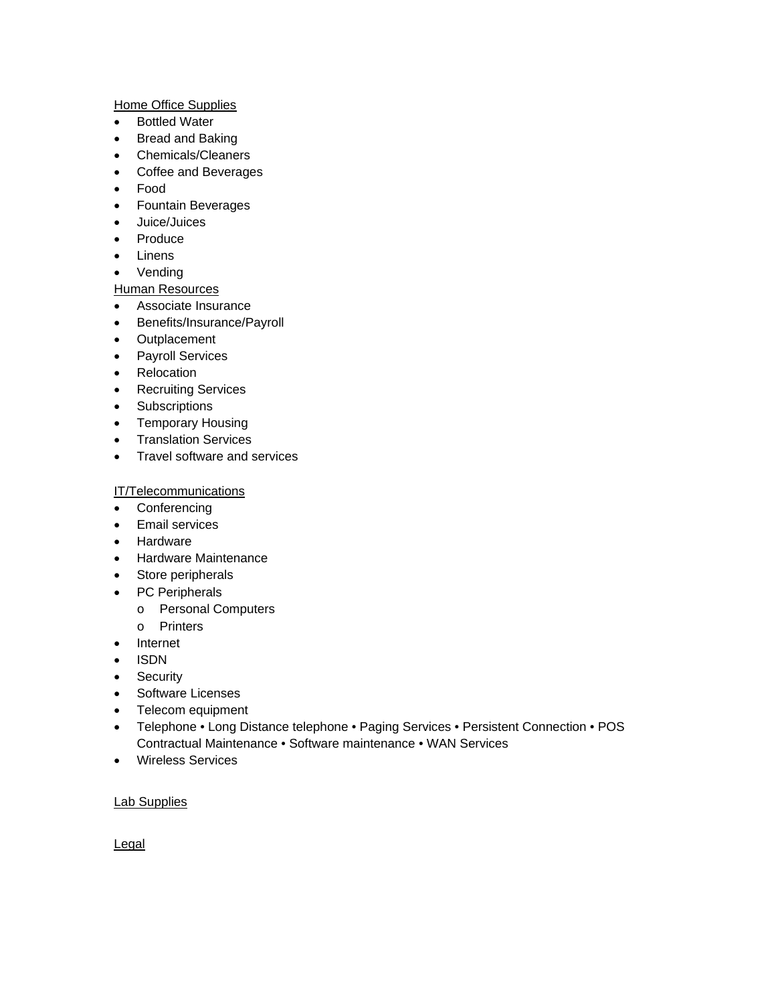#### Home Office Supplies

- Bottled Water
- Bread and Baking
- Chemicals/Cleaners
- Coffee and Beverages
- Food
- Fountain Beverages
- Juice/Juices
- Produce
- Linens
- Vending

# Human Resources

- Associate Insurance
- Benefits/Insurance/Payroll
- Outplacement
- Payroll Services
- Relocation
- Recruiting Services
- **•** Subscriptions
- Temporary Housing
- Translation Services
- Travel software and services

# IT/Telecommunications

- Conferencing
- **•** Email services
- Hardware
- Hardware Maintenance
- Store peripherals
- PC Peripherals
	- o Personal Computers
	- o Printers
- Internet
- ISDN
- Security
- Software Licenses
- Telecom equipment
- Telephone Long Distance telephone Paging Services Persistent Connection POS Contractual Maintenance • Software maintenance • WAN Services
- Wireless Services

# Lab Supplies

**Legal**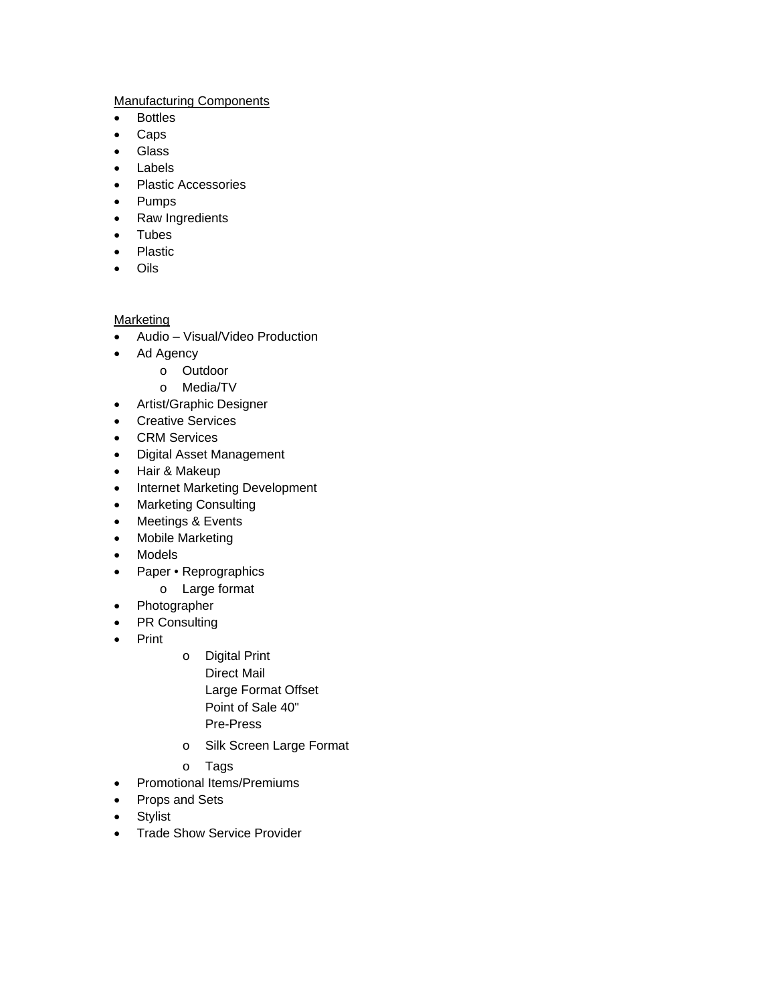# Manufacturing Components

- Bottles
- Caps
- Glass
- Labels
- Plastic Accessories
- Pumps
- Raw Ingredients
- Tubes
- Plastic
- Oils

# **Marketing**

- Audio Visual/Video Production
- Ad Agency
	- o Outdoor
		- o Media/TV
- Artist/Graphic Designer
- Creative Services
- **•** CRM Services
- Digital Asset Management
- Hair & Makeup
- Internet Marketing Development
- Marketing Consulting
- Meetings & Events
- Mobile Marketing
- Models
- Paper Reprographics
	- o Large format
- Photographer
- PR Consulting
- Print
- o Digital Print Direct Mail Large Format Offset Point of Sale 40" Pre-Press
- o Silk Screen Large Format
- o Tags
- Promotional Items/Premiums
- Props and Sets
- **•** Stylist
- Trade Show Service Provider